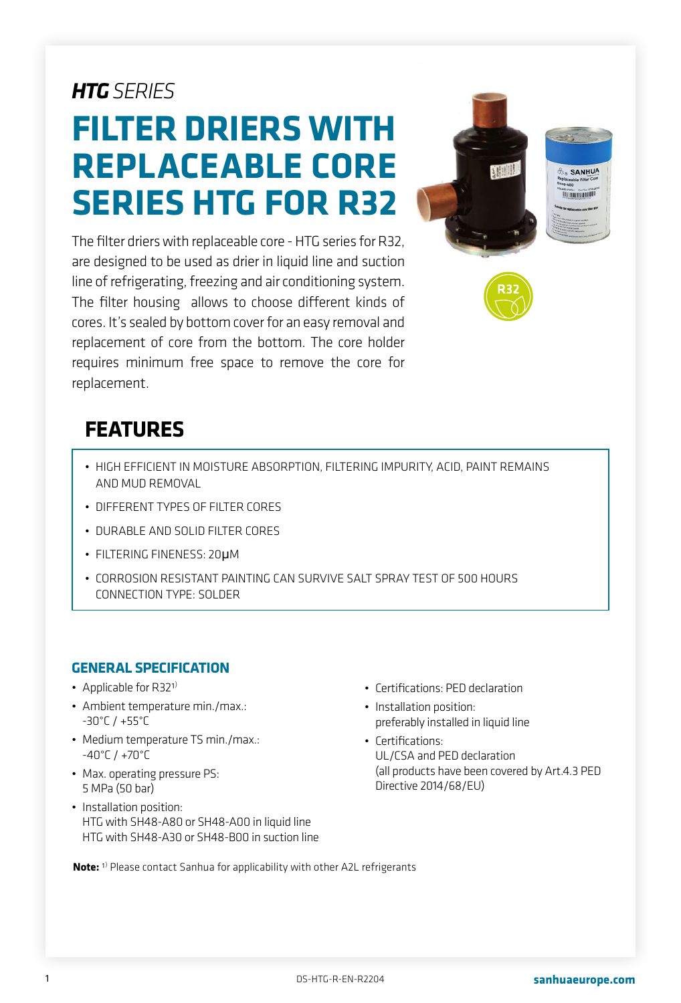# *HTG SERIES*

# **FILTER DRIERS WITH REPLACEABLE CORE SERIES HTG FOR R32**

The filter driers with replaceable core - HTG series for R32, are designed to be used as drier in liquid line and suction line of refrigerating, freezing and air conditioning system. The filter housing allows to choose different kinds of cores. It's sealed by bottom cover for an easy removal and replacement of core from the bottom. The core holder requires minimum free space to remove the core for replacement.



## **FEATURES**

- HIGH EFFICIENT IN MOISTURE ABSORPTION, FILTERING IMPURITY, ACID, PAINT REMAINS AND MUD REMOVAL
- DIFFERENT TYPES OF FILTER CORES
- DURABLE AND SOLID FILTER CORES
- FILTERING FINENESS: 20μM
- CORROSION RESISTANT PAINTING CAN SURVIVE SALT SPRAY TEST OF 500 HOURS CONNECTION TYPE: SOLDER

#### **GENERAL SPECIFICATION**

- Applicable for  $R32<sup>1</sup>$
- Ambient temperature min./max.: -30°C / +55°C
- Medium temperature TS min./max.: -40°C / +70°C
- Max. operating pressure PS: 5 MPa (50 bar)
- Installation position: HTG with SH48-A80 or SH48-A00 in liquid line HTG with SH48-A30 or SH48-B00 in suction line
- Certifications: PED declaration
- Installation position: preferably installed in liquid line
- Certifications: UL/CSA and PED declaration (all products have been covered by Art.4.3 PED Directive 2014/68/EU)

**Note:** 1) Please contact Sanhua for applicability with other A2L refrigerants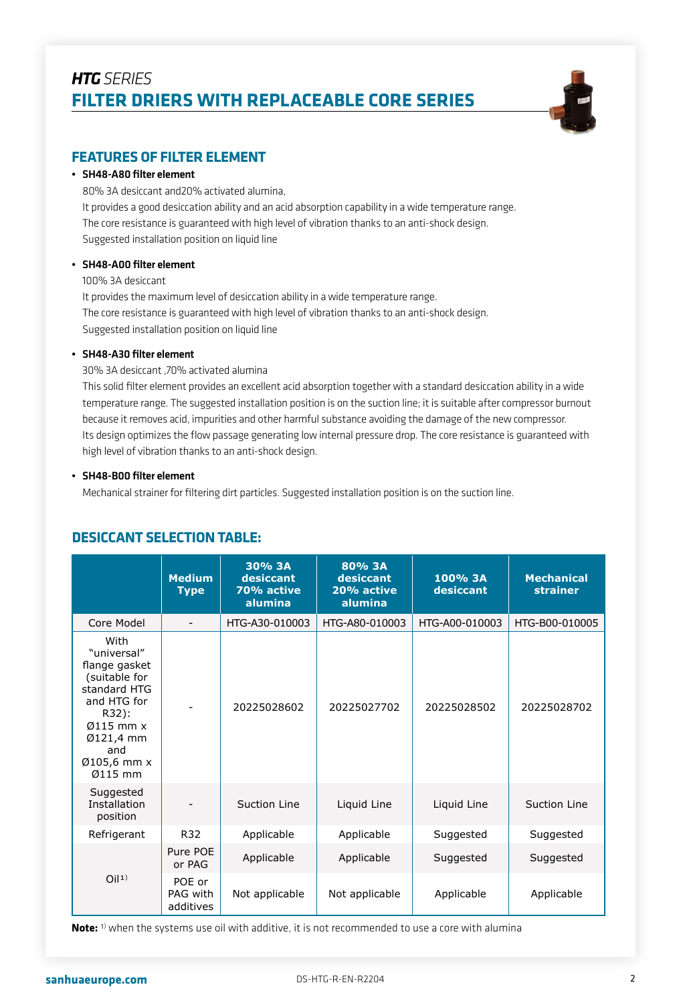

#### **FEATURES OF FILTER ELEMENT**

#### • SH48-A80 filter element

80% 3A desiccant and20% activated alumina, It provides a good desiccation ability and an acid absorption capability in a wide temperature range. The core resistance is guaranteed with high level of vibration thanks to an anti-shock design. Suggested installation position on liquid line

#### • SH48-A00 filter element

100% 3A desiccant

It provides the maximum level of desiccation ability in a wide temperature range. The core resistance is guaranteed with high level of vibration thanks to an anti-shock design. Suggested installation position on liquid line

#### • SH48-A30 filter element

30% 3A desiccant ,70% activated alumina

This solid filter element provides an excellent acid absorption together with a standard desiccation ability in a wide temperature range. The suggested installation position is on the suction line; it is suitable after compressor burnout because it removes acid, impurities and other harmful substance avoiding the damage of the new compressor. Its design optimizes the flow passage generating low internal pressure drop. The core resistance is guaranteed with high level of vibration thanks to an anti-shock design.

#### • SH48-B00 filter element

Mechanical strainer for filtering dirt particles. Suggested installation position is on the suction line.

|                                                                                                                                                                | <b>Medium</b><br><b>Type</b>    | 30% 3A<br>desiccant<br>70% active<br>alumina | 80% 3A<br>desiccant<br>20% active<br>alumina | 100% 3A<br>desiccant | <b>Mechanical</b><br><b>strainer</b> |
|----------------------------------------------------------------------------------------------------------------------------------------------------------------|---------------------------------|----------------------------------------------|----------------------------------------------|----------------------|--------------------------------------|
| Core Model                                                                                                                                                     |                                 | HTG-A30-010003                               | HTG-A80-010003                               | HTG-A00-010003       | HTG-B00-010005                       |
| With<br>"universal"<br>flange gasket<br>(suitable for<br>standard HTG<br>and HTG for<br>R32):<br>$0115$ mm $x$<br>Ø121,4 mm<br>and<br>Ø105,6 mm x<br>$Ø115$ mm |                                 | 20225028602                                  | 20225027702                                  | 20225028502          | 20225028702                          |
| Suggested<br>Installation<br>position                                                                                                                          |                                 | Suction Line                                 | Liquid Line                                  | Liquid Line          | Suction Line                         |
| Refrigerant                                                                                                                                                    | R32                             | Applicable                                   | Applicable                                   | Suggested            | Suggested                            |
| O <sub>11</sub>                                                                                                                                                | Pure POE<br>or PAG              | Applicable                                   | Applicable                                   | Suggested            | Suggested                            |
|                                                                                                                                                                | POE or<br>PAG with<br>additives | Not applicable                               | Not applicable                               | Applicable           | Applicable                           |

#### **DESICCANT SELECTION TABLE:**

**Note:** 1) when the systems use oil with additive, it is not recommended to use a core with alumina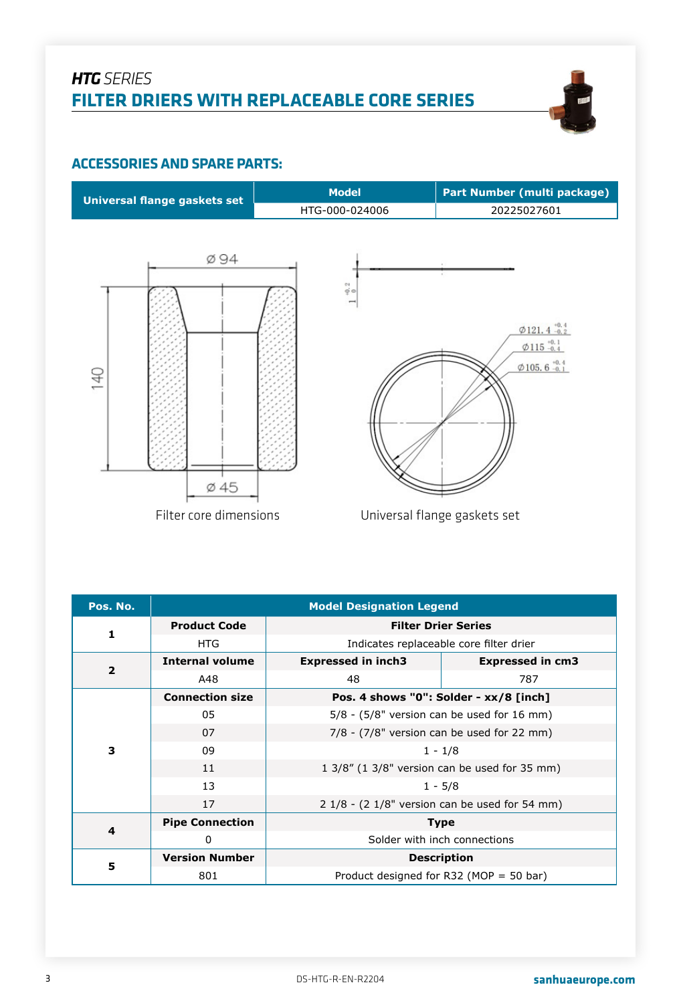

#### **ACCESSORIES AND SPARE PARTS:**



| Pos. No.       | <b>Model Designation Legend</b> |                                                 |                                         |  |  |  |
|----------------|---------------------------------|-------------------------------------------------|-----------------------------------------|--|--|--|
| 1              | <b>Product Code</b>             | <b>Filter Drier Series</b>                      |                                         |  |  |  |
|                | HTG.                            |                                                 | Indicates replaceable core filter drier |  |  |  |
| $\overline{2}$ | <b>Internal volume</b>          | <b>Expressed in inch3</b>                       | <b>Expressed in cm3</b>                 |  |  |  |
|                | A48                             | 48                                              | 787                                     |  |  |  |
|                | <b>Connection size</b>          |                                                 | Pos. 4 shows "0": Solder - xx/8 [inch]  |  |  |  |
|                | 05                              | $5/8$ - (5/8" version can be used for 16 mm)    |                                         |  |  |  |
|                | 07                              | $7/8$ - $(7/8"$ version can be used for 22 mm)  |                                         |  |  |  |
| 3              | 09                              | $1 - 1/8$                                       |                                         |  |  |  |
|                | 11                              | 1 3/8" (1 3/8" version can be used for 35 mm)   |                                         |  |  |  |
|                | 13                              | $1 - 5/8$                                       |                                         |  |  |  |
|                | 17                              | $21/8$ - (2 1/8" version can be used for 54 mm) |                                         |  |  |  |
| $\overline{a}$ | <b>Pipe Connection</b>          |                                                 | <b>Type</b>                             |  |  |  |
|                | 0                               | Solder with inch connections                    |                                         |  |  |  |
|                | <b>Version Number</b>           |                                                 | <b>Description</b>                      |  |  |  |
| 5              | 801                             | Product designed for R32 (MOP = 50 bar)         |                                         |  |  |  |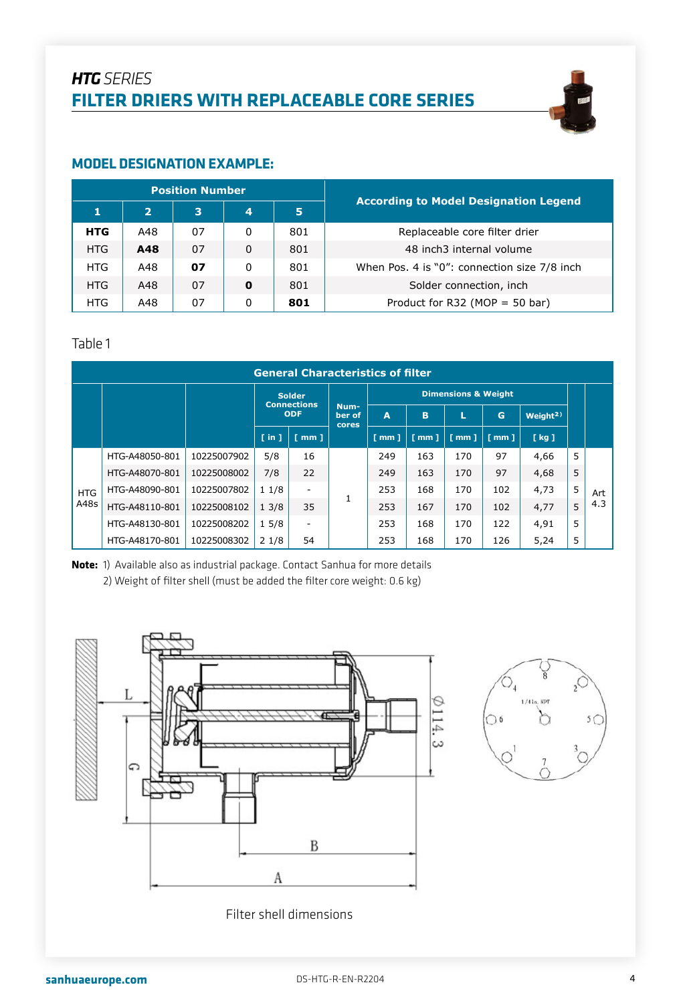

#### **MODEL DESIGNATION EXAMPLE:**

| <b>Position Number</b> |                |    |   |     | <b>According to Model Designation Legend</b> |
|------------------------|----------------|----|---|-----|----------------------------------------------|
|                        | $\overline{2}$ | 3  | 4 | 5   |                                              |
| <b>HTG</b>             | A48            | 07 | 0 | 801 | Replaceable core filter drier                |
| <b>HTG</b>             | A48            | 07 | 0 | 801 | 48 inch3 internal volume                     |
| HTG                    | A48            | 07 | 0 | 801 | When Pos. 4 is "0": connection size 7/8 inch |
| HTG.                   | A48            | 07 | 0 | 801 | Solder connection, inch                      |
| HTG.                   | A48            | 07 | 0 | 801 | Product for R32 (MOP = 50 bar)               |

#### Table 1

|            | <b>General Characteristics of filter</b> |             |                      |                                  |       |                      |                    |                                |                      |                      |   |     |
|------------|------------------------------------------|-------------|----------------------|----------------------------------|-------|----------------------|--------------------|--------------------------------|----------------------|----------------------|---|-----|
|            |                                          |             |                      | <b>Solder</b>                    | Num-  |                      |                    | <b>Dimensions &amp; Weight</b> |                      |                      |   |     |
|            |                                          |             |                      | <b>Connections</b><br><b>ODF</b> |       | A                    | B                  | L                              | G                    | Weight <sup>2)</sup> |   |     |
|            |                                          |             | $\lceil$ in $\rceil$ | $\lceil$ mm $\rceil$             | cores | $\lceil$ mm $\rceil$ | $\lceil mm \rceil$ | $f$ mm $1$                     | $\lceil$ mm $\rceil$ | [kg]                 |   |     |
|            | HTG-A48050-801                           | 10225007902 | 5/8                  | 16                               |       | 249                  | 163                | 170                            | 97                   | 4,66                 | 5 |     |
|            | HTG-A48070-801                           | 10225008002 | 7/8                  | 22                               |       | 249                  | 163                | 170                            | 97                   | 4,68                 | 5 |     |
| <b>HTG</b> | HTG-A48090-801                           | 10225007802 | 11/8                 | $\overline{\phantom{m}}$         |       | 253                  | 168                | 170                            | 102                  | 4,73                 | 5 | Art |
| A48s       | HTG-A48110-801                           | 10225008102 | 13/8                 | 35                               |       | 253                  | 167                | 170                            | 102                  | 4,77                 | 5 | 4.3 |
|            | HTG-A48130-801                           | 10225008202 | 15/8                 | $\overline{\phantom{m}}$         |       | 253                  | 168                | 170                            | 122                  | 4,91                 | 5 |     |
|            | HTG-A48170-801                           | 10225008302 | 21/8                 | 54                               |       | 253                  | 168                | 170                            | 126                  | 5,24                 | 5 |     |

**Note:** 1) Available also as industrial package. Contact Sanhua for more details 2) Weight of filter shell (must be added the filter core weight: 0.6 kg)





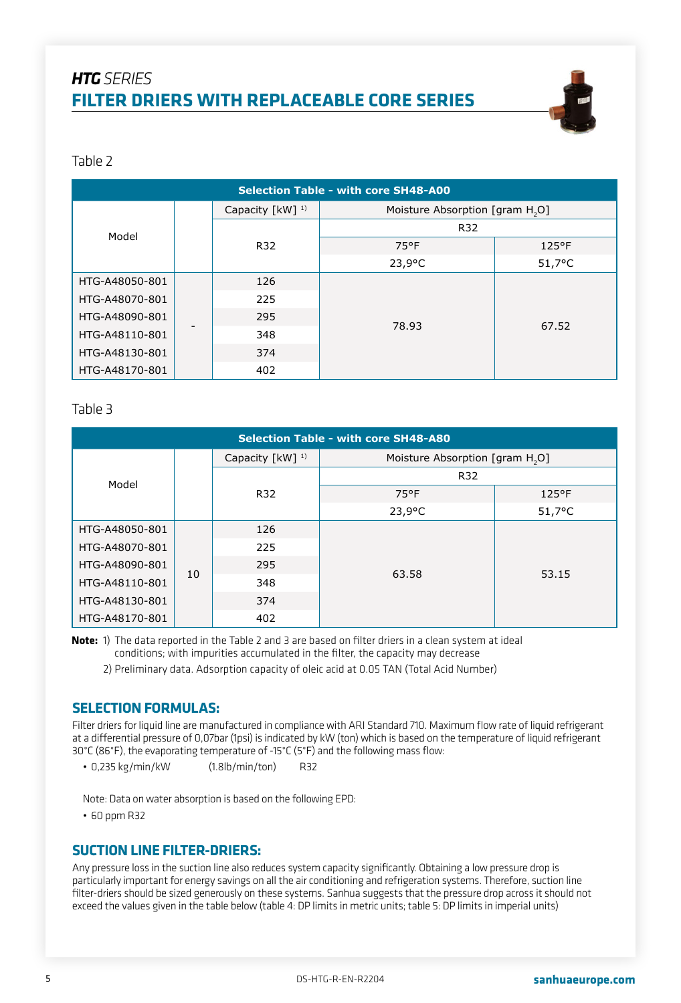

#### Table 2

| <b>Selection Table - with core SH48-A00</b> |  |                             |                                             |                  |  |  |
|---------------------------------------------|--|-----------------------------|---------------------------------------------|------------------|--|--|
|                                             |  | Capacity [kW] <sup>1)</sup> | Moisture Absorption [gram H <sub>2</sub> O] |                  |  |  |
| Model                                       |  | R32                         |                                             |                  |  |  |
|                                             |  | R32                         | 75°F                                        | $125$ °F         |  |  |
|                                             |  |                             | $23,9^{\circ}$ C                            | $51,7^{\circ}$ C |  |  |
| HTG-A48050-801                              |  | 126                         |                                             |                  |  |  |
| HTG-A48070-801                              |  | 225                         |                                             |                  |  |  |
| HTG-A48090-801                              |  | 295                         |                                             |                  |  |  |
| HTG-A48110-801                              |  | 348                         | 78.93                                       | 67.52            |  |  |
| HTG-A48130-801                              |  | 374                         |                                             |                  |  |  |
| HTG-A48170-801                              |  | 402                         |                                             |                  |  |  |

#### Table 3

| <b>Selection Table - with core SH48-A80</b> |    |                             |                                             |                  |  |  |
|---------------------------------------------|----|-----------------------------|---------------------------------------------|------------------|--|--|
|                                             |    | Capacity [kW] <sup>1)</sup> | Moisture Absorption [gram H <sub>2</sub> O] |                  |  |  |
| Model                                       |    |                             | R32                                         |                  |  |  |
|                                             |    | R32                         | 75°F                                        | $125^{\circ}$ F  |  |  |
|                                             |    |                             | $23,9^{\circ}$ C                            | $51,7^{\circ}$ C |  |  |
| HTG-A48050-801                              | 10 | 126                         |                                             |                  |  |  |
| HTG-A48070-801                              |    | 225                         |                                             |                  |  |  |
| HTG-A48090-801                              |    | 295                         |                                             | 53.15            |  |  |
| HTG-A48110-801                              |    | 348                         | 63.58                                       |                  |  |  |
| HTG-A48130-801                              |    | 374                         |                                             |                  |  |  |
| HTG-A48170-801                              |    | 402                         |                                             |                  |  |  |

**Note:** 1) The data reported in the Table 2 and 3 are based on filter driers in a clean system at ideal conditions; with impurities accumulated in the filter, the capacity may decrease

2) Preliminary data. Adsorption capacity of oleic acid at 0.05 TAN (Total Acid Number)

#### **SELECTION FORMULAS:**

Filter driers for liquid line are manufactured in compliance with ARI Standard 710. Maximum flow rate of liquid refrigerant at a differential pressure of 0,07bar (1psi) is indicated by kW (ton) which is based on the temperature of liquid refrigerant 30°C (86°F), the evaporating temperature of -15°C (5°F) and the following mass flow:

• 0,235 kg/min/kW (1.8lb/min/ton) R32

Note: Data on water absorption is based on the following EPD:

• 60 ppm R32

#### **SUCTION LINE FILTER-DRIERS:**

Any pressure loss in the suction line also reduces system capacity significantly. Obtaining a low pressure drop is particularly important for energy savings on all the air conditioning and refrigeration systems. Therefore, suction line filter-driers should be sized generously on these systems. Sanhua suggests that the pressure drop across it should not exceed the values given in the table below (table 4: DP limits in metric units; table 5: DP limits in imperial units)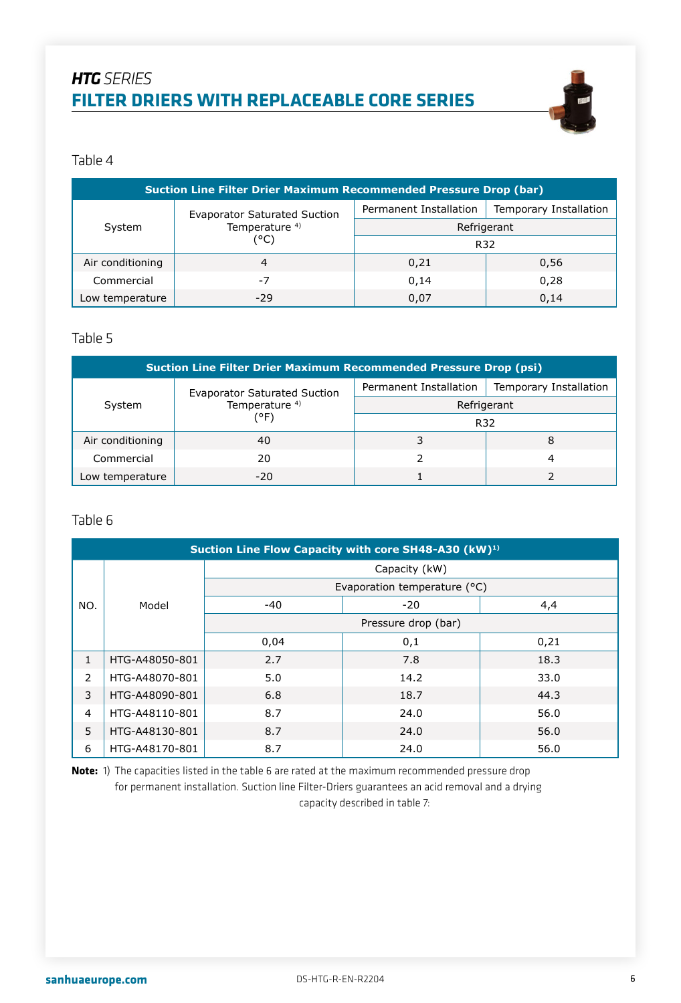

#### Table 4

| <b>Suction Line Filter Drier Maximum Recommended Pressure Drop (bar)</b> |                                     |                                                                 |      |  |  |  |
|--------------------------------------------------------------------------|-------------------------------------|-----------------------------------------------------------------|------|--|--|--|
| System                                                                   | <b>Evaporator Saturated Suction</b> | Permanent Installation<br>Temporary Installation<br>Refrigerant |      |  |  |  |
|                                                                          | Temperature <sup>4)</sup>           |                                                                 |      |  |  |  |
|                                                                          | (°C)                                | R32                                                             |      |  |  |  |
| Air conditioning                                                         | 4                                   | 0,21                                                            | 0,56 |  |  |  |
| Commercial                                                               | -7                                  | 0.14                                                            | 0,28 |  |  |  |
| Low temperature                                                          | $-29$                               | 0,07                                                            | 0,14 |  |  |  |

#### Table 5

| <b>Suction Line Filter Drier Maximum Recommended Pressure Drop (psi)</b> |                                     |                                                  |   |  |  |
|--------------------------------------------------------------------------|-------------------------------------|--------------------------------------------------|---|--|--|
| System                                                                   | <b>Evaporator Saturated Suction</b> | Permanent Installation<br>Temporary Installation |   |  |  |
|                                                                          | Temperature <sup>4)</sup>           | Refrigerant                                      |   |  |  |
|                                                                          | (°F)                                | R32                                              |   |  |  |
| Air conditioning                                                         | 40                                  |                                                  | 8 |  |  |
| Commercial                                                               | 20                                  |                                                  | 4 |  |  |
| Low temperature                                                          | $-20$                               |                                                  |   |  |  |

#### Table 6

|              | Suction Line Flow Capacity with core SH48-A30 (kW) <sup>1)</sup> |               |                              |      |  |  |  |
|--------------|------------------------------------------------------------------|---------------|------------------------------|------|--|--|--|
|              |                                                                  | Capacity (kW) |                              |      |  |  |  |
|              |                                                                  |               | Evaporation temperature (°C) |      |  |  |  |
| NO.          | Model                                                            | $-40$         | $-20$                        | 4,4  |  |  |  |
|              |                                                                  |               | Pressure drop (bar)          |      |  |  |  |
|              |                                                                  | 0,04          | 0,1                          | 0,21 |  |  |  |
| $\mathbf{1}$ | HTG-A48050-801                                                   | 2.7           | 7.8                          | 18.3 |  |  |  |
| 2            | HTG-A48070-801                                                   | 5.0           | 14.2                         | 33.0 |  |  |  |
| 3            | HTG-A48090-801                                                   | 6.8           | 18.7                         | 44.3 |  |  |  |
| 4            | HTG-A48110-801                                                   | 8.7           | 24.0                         | 56.0 |  |  |  |
| 5            | HTG-A48130-801                                                   | 8.7           | 24.0                         | 56.0 |  |  |  |
| 6            | HTG-A48170-801                                                   | 8.7           | 24.0                         | 56.0 |  |  |  |

**Note:** 1) The capacities listed in the table 6 are rated at the maximum recommended pressure drop for permanent installation. Suction line Filter-Driers guarantees an acid removal and a drying capacity described in table 7: